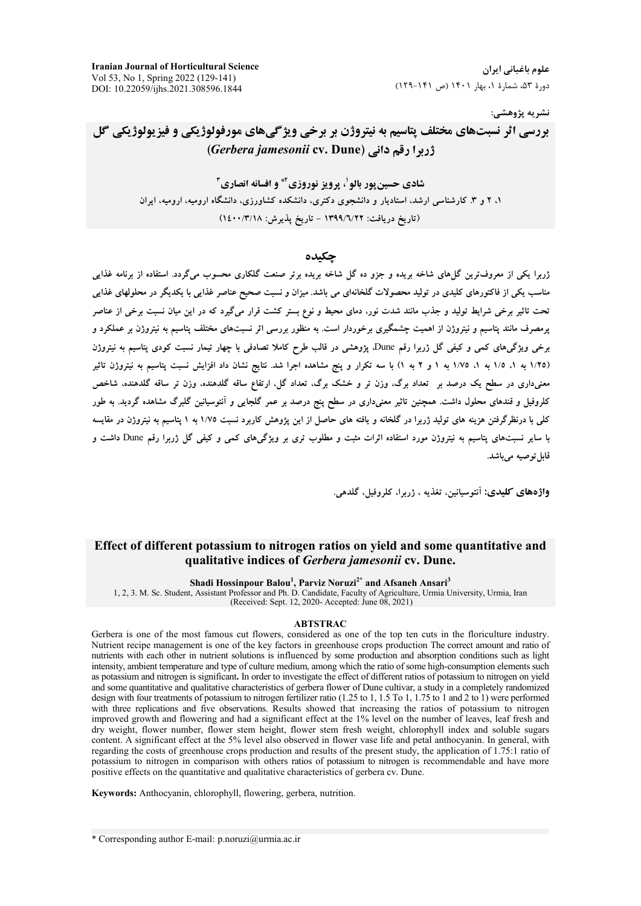**Iranian Journal of Horticultural Science** Vol 53, No 1, Spring 2022 (129-141) DOI: 10.22059/ijhs.2021.308596.1844

علوم باغیانی ایران دورهٔ ۵۳، شمارهٔ ۱، بهار ۱۴۰۱ (ص ۱۴۱-۱۲۹)

نشريه پژوهشي:

# بررسي اثر نسبتهاي مختلف پتاسيم به نيتروژن بر برخي ويژگيهاي مورفولوژيکي و فيزيولوژيکي گل (Gerbera jamesonii cv. Dune) زربرا رقم دانی

شادي حسبن يور يالوا، برويز نوروزي آ\* و افسانه انصاري آ ۱، ۲ و ۳. کارشناسی ارشد، استادیار و دانشجوی دکتری، دانشکده کشاورزی، دانشگاه ارومیه، ارومیه، ایران (تاریخ دریافت: ۱۳۹۹/٦/۲۲ - تاریخ یذیرش: ۱٤٠٠/٣/١٨)

#### حكىدە

.<br>ژربرا یکی از معروفترین گل¢ای شاخه بریده و جزو ده گل شاخه بریده برتر صنعت گلکاری محسوب میگردد. استفاده از برنامه غذایی مناسب یکی از فاکتورهای کلیدی در تولید محصولات گلخانهای می باشد. میزان و نسبت صحیح عناصر غذایی با یکدیگر در محلولهای غذایی تحت تاثیر برخی شرایط تولید و جذب مانند شدت نور، دمای محیط و نوع بستر کشت قرار میگیرد که در این میان نسبت برخی از عناصر یرمصرف مانند پتاسیم و نیتروژن از اهمیت چشمگیری برخوردار است. به منظور بررسی اثر نسبتهای مختلف پتاسیم به نیتروژن بر عملکرد و برخی ویژگیهای کمی و کیفی گل ژربرا رقم Dune، پژوهشی در قالب طرح کاملا تصادفی با چهار تیمار نسبت کودی پتاسیم به نیتروژن (١/٢٥ به ١، ١/٥ به ١، ١/٧٥ به ١ و ٢ به ١) با سه تكرار و ينج مشاهده اجرا شد. نتايج نشان داد افزايش نسبت يتاسيم به نيتروژن تاثير معنیداری در سطح یک درصد بر تعداد برگ، وزن تر و خشک برگ، تعداد گل، ارتفاع ساقه گلدهنده، وزن تر ساقه گلدهنده، شاخص کلروفیل و قندهای محلول داشت. همچنین تاثیر معنیداری در سطح پنج درصد بر عمر گلجایی و آنتوسیانین گلبرگ مشاهده گردید. به طور کلی با درنظرگرفتن هزینه های تولید ژربرا در گلخانه و یافته های حاصل از این یژوهش کاربرد نسبت ۱/۷۵ به ۱ پتاسیم به نیتروژن در مقایسه با سایر نسبتهای پتاسیم به نیتروژن مورد استفاده اثرات مثبت و مطلوب تری بر ویژگیهای کمی و کیفی گل ژربرا رقم Dune داشت و قابل توصيه مي باشد.

واژەهاي كليدى: أنتوسانين تغذيه ، ژرېرا، كلروفيل گلدهي.

# Effect of different potassium to nitrogen ratios on yield and some quantitative and qualitative indices of Gerbera jamesonii cv. Dune.

Shadi Hossinpour Balou<sup>1</sup>, Parviz Noruzi<sup>2\*</sup> and Afsaneh Ansari<sup>3</sup>

1, 2, 3. M. Sc. Student, Assistant Professor and Ph. D. Candidate, Faculty of Agriculture, Urmia University, Urmia, Iran (Received: Sept. 12, 2020- Accepted: June 08, 2021)

#### **ABTSTRAC**

Gerbera is one of the most famous cut flowers, considered as one of the top ten cuts in the floriculture industry. Nutrient recipe management is one of the key factors in greenhouse crops production The correct amount and ratio of nutrients with each other in nutrient solutions is influenced by some production and absorption conditions such as light intensity, ambient temperature and type of culture medium, among which the ratio of some high-consumption elements such as potassium and nitrogen is significant. In order to investigate the effect of different ratios of potassium to nitrogen on yield and some quantitative and qualitative characteristics of gerbera flower of Dune cultivar, a study in a completely randomized design with four treatments of potassium to nitrogen fertilizer ratio (1.25 to 1, 1.5 To 1, 1.75 to 1 and 2 to 1) were performed with three replications and five observations. Results showed that increasing the ratios of potassium to nitrogen improved growth and flowering and had a significant effect at the 1% level on the number of leaves, leaf fresh and dry weight, flower number, flower stem height, flower stem fresh weight, chlorophyll index and soluble sugars content. A significant effect at the 5% level also observed in flower vase life and petal anthocyanin. In general, with regarding the costs of greenhouse crops production and results of the present study, the application of 1.75:1 ratio of potassium to nitrogen in comparison with others ratios of potassium to nitrogen is recommendable and have more positive effects on the quantitative and qualitative characteristics of gerbera cv. Dune.

Keywords: Anthocyanin, chlorophyll, flowering, gerbera, nutrition.

\* Corresponding author E-mail: p.noruzi@urmia.ac.ir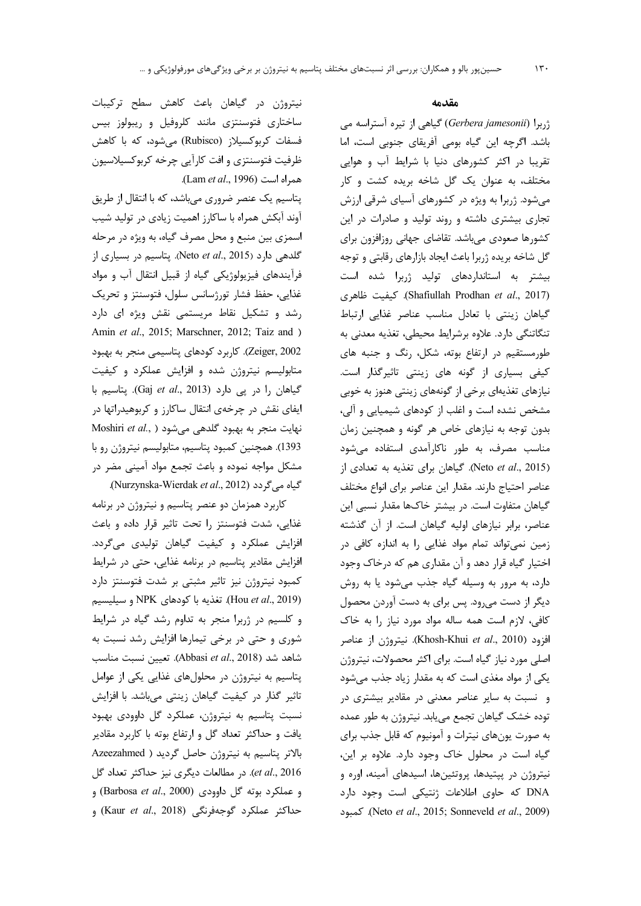نیتروژن در گیاهان باعث کاهش سطح ترکیبات ساختاری فتوسنتزی مانند کلروفیل و ریبولوز بیس فسفات کربوکسیلاز (Rubisco) می شود، که با کاهش ظرفیت فتوسنتزی و افت کارآیی چرخه کربوکسیلاسیون همراه است (Lam et al., 1996).

پتاسیم یک عنصر ضروری میباشد، که با انتقال از طریق آوند آبکش همراه با ساکارز اهمیت زیادی در تولید شیب اسمزي بين منبع و محل مصرف گياه، به ويژه در مرحله گلدهی دارد (Neto et al., 2015). یتاسیم در بسیاری از فرآیندهای فیزیولوژیکی گیاه از قبیل انتقال آب و مواد غذايي، حفظ فشار تورژسانس سلول، فتوسنتز و تحريک رشد و تشکیل نقاط مریستمی نقش ویژه ای دارد Amin et al., 2015; Marschner, 2012; Taiz and ) Zeiger, 2002). كاربرد كودهاي پتاسيمي منجر به بهبود متابولیسم نیتروژن شده و افزایش عملکرد و کیفیت گیاهان را در پی دارد (Gaj et al., 2013). پتاسیم با ایفای نقش در چرخهی انتقال ساکارز و کربوهیدراتها در Moshiri et al., ) نهایت منجر به بهبود Moshiri et al., ) 1393). همچنین کمبود پتاسیم، متابولیسم نیتروژن رو با مشکل مواجه نموده و باعث تجمع مواد آمینی مضر در .(Nurzynska-Wierdak et al., 2012).

کاربرد همزمان دو عنصر پتاسیم و نیتروژن در برنامه غذایی، شدت فتوسنتز را تحت تاثیر قرار داده و باعث افزایش عملکرد و کیفیت گیاهان تولیدی میگردد. افزایش مقادیر پتاسیم در برنامه غذایی، حتی در شرایط كمبود نيتروژن نيز تاثير مثبتى بر شدت فتوسنتز دارد (Hou et al., 2019). تغذيه با كودهاى NPK و سيليسيم و کلسیم در ژربرا منجر به تداوم رشد گیاه در شرایط شوری و حتی در برخی تیمارها افزایش رشد نسبت به شاهد شد (Abbasi et al., 2018). تعيين نسبت مناسب پتاسیم به نیتروژن در محلولهای غذایی یکی از عوامل تاثیر گذار در کیفیت گیاهان زینتی می باشد. با افزایش نسبت پتاسیم به نیتروژن، عملکرد گل داوودی بهبود یافت و حداکثر تعداد گل و ارتفاع بوته با کاربرد مقادیر بالاتر پتاسيم به نيتروژن حاصل گرديد ( Azeezahmed et al., 2016). در مطالعات دیگری نیز حداکثر تعداد گل و عملكرد بوته گل داوودى (Barbosa et al., 2000) و حداكثر عملكرد گوجهفرنگى (Kaur et al., 2018) و

#### مقدمه

 $\mathcal{N}$ .

ژربرا (Gerbera jamesonii) گیاهی از تیره آستراسه می باشد. اگرچه این گیاه بومی آفریقای جنوبی است، اما تقریبا در اکثر کشورهای دنیا با شرایط آب و هوایی مختلف، به عنوان یک گل شاخه بریده کشت و کار می شود. ژربرا به ویژه در کشورهای آسیای شرقی ارزش تجاری بیشتری داشته و روند تولید و صادرات در این کشورها صعودی میباشد. تقاضای جهانی روزافزون برای گل شاخه بریده ژربرا باعث ایجاد بازارهای رقابتی و توجه بیشتر به استانداردهای تولید ژربرا شده است (Shafiullah Prodhan et al., 2017). كيفيت ظاهرى گیاهان زینتی با تعادل مناسب عناصر غذایی ارتباط تنگاتنگی دارد. علاوه برشرایط محیطی، تغذیه معدنی به طورمستقیم در ارتفاع بوته، شکل، رنگ و جنبه های کیفی بسیاری از گونه های زینتی تاثیرگذار است. نیازهای تغذیهای برخی از گونههای زینتی هنوز به خوبی مشخص نشده است و اغلب از کودهای شیمیایی و آلی، بدون توجه به نیازهای خاص هر گونه و همچنین زمان مناسب مصرف، به طور ناكارآمدى استفاده مى شود (Neto et al., 2015). گیاهان برای تغذیه به تعدادی از عناصر احتياج دارند. مقدار اين عناصر براي انواع مختلف گیاهان متفاوت است. در بیشتر خاکها مقدار نسبی این عناصر، برابر نیازهای اولیه گیاهان است. از آن گذشته زمین نمی تواند تمام مواد غذایی را به اندازه کافی در اختیار گیاه قرار دهد و آن مقداری هم که درخاک وجود دارد، به مرور به وسیله گیاه جذب می شود یا به روش دیگر از دست میرود. پس برای به دست آوردن محصول كافى، لازم است همه ساله مواد مورد نياز را به خاك افزود (Khosh-Khui et al., 2010). نيتروژن از عناصر اصلی مورد نیاز گیاه است. برای اکثر محصولات، نیتروژن یکی از مواد مغذی است که به مقدار زیاد جذب می شود و نسبت به سایر عناصر معدنی در مقادیر بیشتری در توده خشک گیاهان تجمع می یابد. نیتروژن به طور عمده به صورت یونهای نیترات و آمونیوم که قابل جذب برای گیاه است در محلول خاک وجود دارد. علاوه بر این، نیتروژن در پپتیدها، پروتئینها، اسیدهای آمینه، اوره و DNA که حاوی اطلاعات ژنتیکی است وجود دارد Neto et al., 2015; Sonneveld et al., 2009). كمبود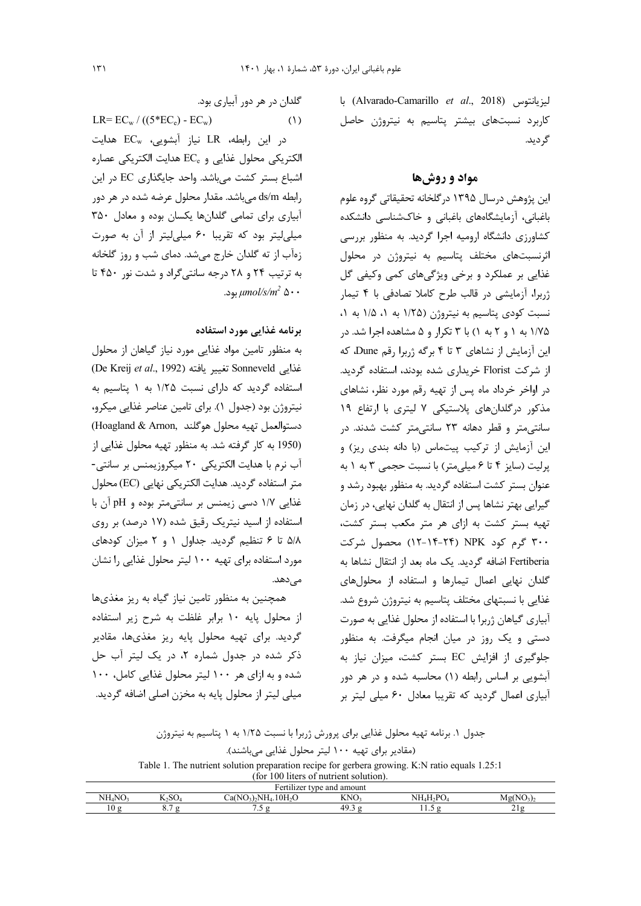ليزيانتوس (Alvarado-Camarillo et al., 2018) با کاربرد نسبتهای بیشتر پتاسیم به نیتروژن حاصل گر ديد.

#### مواد و روشها

این پژوهش درسال ۱۳۹۵ درگلخانه تحقیقاتی گروه علوم باغبانی، آزمایشگاههای باغبانی و خاکشناسی دانشکده کشاورزی دانشگاه ارومیه اجرا گردید. به منظور بررسی اثرنسبتهای مختلف پتاسیم به نیتروژن در محلول غذایی بر عملکرد و برخی ویژگیهای کمی وکیفی گل ژربرا، آزمایشی در قالب طرح کاملا تصادفی با ۴ تیمار نسبت کودی پتاسیم به نیتروژن (۱/۲۵ به ۱، ۱/۵ به ۱، ۱/۷۵ به ۱ و ۲ به ۱) با ۳ تکرار و ۵ مشاهده اجرا شد. در این آزمایش از نشاهای ۳ تا ۴ برگه ژربرا رقم Dune، که از شرکت Florist خریداری شده بودند، استفاده گردید. در اواخر خرداد ماه پس از تهیه رقم مورد نظر، نشاهای مذکور درگلدانهای پلاستیکی ۷ لیتری با ارتفاع ۱۹ سانتی متر و قطر دهانه ۲۳ سانتی متر کشت شدند. در این آزمایش از ترکیب پیتماس (با دانه بندی ریز) و یرلیت (سایز ۴ تا ۶ میلی متر) با نسبت حجمی ۳ به ۱ به عنوان بستر کشت استفاده گردید. به منظور بهبود رشد و گیرایی بهتر نشاها پس از انتقال به گلدان نهایی، در زمان تهیه بستر کشت به ازای هر متر مکعب بستر کشت، ۳۰۰ گرم کود NPK (۲۴-۱۴-۱۲) محصول شرکت Fertiberia اضافه گردید. یک ماه بعد از انتقال نشاها به گلدان نهایی اعمال تیمارها و استفاده از محلولهای غذایی با نسبتهای مختلف پتاسیم به نیتروژن شروع شد. آبیاری گیاهان ژربرا با استفاده از محلول غذایی به صورت دستی و یک روز در میان انجام میگرفت. به منظور جلوگیری از افزایش EC بستر کشت، میزان نیاز به آبشویی بر اساس رابطه (۱) محاسبه شده و در هر دور آبیاری اعمال گردید که تقریبا معادل ۶۰ میلی لیتر بر

جدول ۱. برنامه تهیه محلول غذایی برای پرورش ژربرا با نسبت ۱/۲۵ به ۱ پتاسیم به نیتروژن (مقادیر برای تهیه ۱۰۰ لیتر محلول غذایی میباشند). Table 1. The nutrient solution preparation recipe for gerbera growing. K:N ratio equals 1.25:1

| (for 100 liters of nutrient solution).                                                                                   |            |         |      |  |                     |  |  |
|--------------------------------------------------------------------------------------------------------------------------|------------|---------|------|--|---------------------|--|--|
| Fertilizer type and amount                                                                                               |            |         |      |  |                     |  |  |
| NH <sub>4</sub> NO <sub>3</sub><br>KNO3<br>Mg(NO <sub>3</sub> ) <sub>2</sub><br>NH4H2PO4<br>$Ca(NO3)2NH4.10H2O$<br>K2SO4 |            |         |      |  |                     |  |  |
| 10 g                                                                                                                     | $^{\circ}$ | $\cdot$ | د.49 |  | $\overline{\sigma}$ |  |  |

گلدان در هر دور آبیاری بود.

 $LR = EC_w / ((5 * EC_e) - EC_w)$  $(1)$  $EC_w$  در این رابطه، LR نیاز آبشویی، EC $C_w$  هدایت الكتريكي محلول غذايي و EC<sub>e</sub> هدايت الكتريكي عصاره اشباع بستر كشت مى باشد. واحد جايگذارى EC در اين رابطه ds/m می باشد. مقدار محلول عرضه شده در هر دور آبیاری برای تمامی گلدانها یکسان بوده و معادل ۳۵۰ میلی لیتر بود که تقریبا ۶۰ میلی لیتر از آن به صورت زهآب از ته گلدان خارج میشد. دمای شب و روز گلخانه به ترتیب ۲۴ و ۲۸ درجه سانتیگراد و شدت نور ۴۵۰ تا .د. $\mu mol/s/m^2 \Delta \cdot \cdot$ 

### برنامه غذایی مورد استفاده

به منظور تامین مواد غذایی مورد نیاز گیاهان از محلول (De Kreij et al., 1992) تغيير يافته (De Kreij et al., 1992) استفاده گردید که دارای نسبت ۱/۲۵ به ۱ پتاسیم به نیتروژن بود (جدول ۱). برای تامین عناصر غذایی میکرو، دستوالعمل تهيه محلول هوگلند ,Hoagland & Arnon) (1950 به کار گرفته شد. به منظور تهیه محلول غذایی از آب نرم با هدایت الکتریکی ۲۰ میکروزیمنس بر سانتی-متر استفاده گردید. هدایت الکتریکی نهایی (EC) محلول غذایی ۱/۷ دسی زیمنس بر سانتی متر بوده و pH آن با استفاده از اسید نیتریک رقیق شده (۱۷ درصد) بر روی ۵/۸ تا ۶ تنظیم گردید. جداول ۱ و ۲ میزان کودهای مورد استفاده برای تهیه ۱۰۰ لیتر محلول غذایی را نشان مىدھد.

همچنین به منظور تامین نیاز گیاه به ریز مغذیها از محلول پایه ۱۰ برابر غلظت به شرح زیر استفاده گردید. برای تهیه محلول پایه ریز مغذیها، مقادیر ذکر شده در جدول شماره ۲، در یک لیتر آب حل شده و به ازای هر ۱۰۰ لیتر محلول غذایی کامل، ۱۰۰ میلی لیتر از محلول پایه به مخزن اصلی اضافه گردید.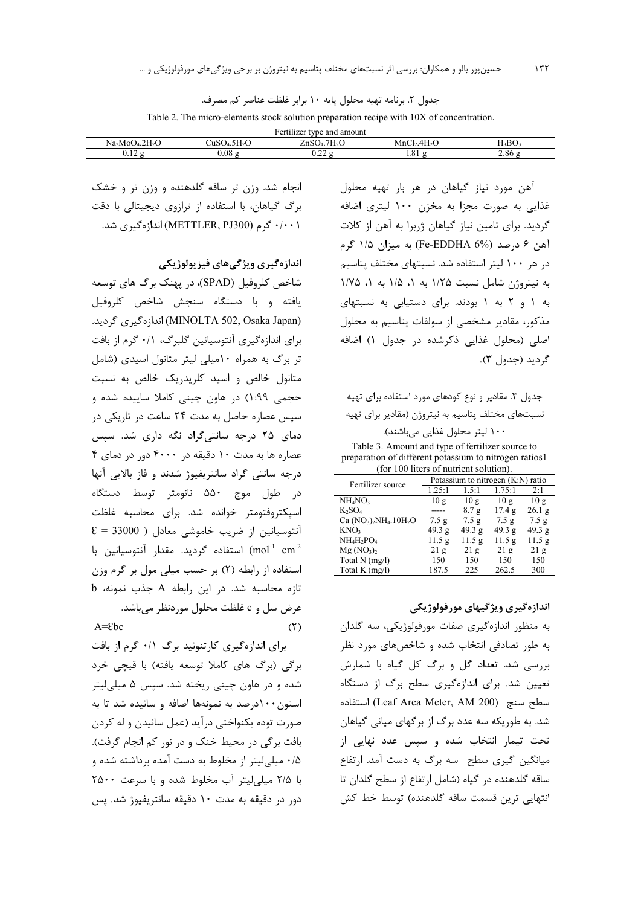جدول ٢. برنامه تهيه محلول پايه ١٠ برابر غلظت عناصر كم مصرف.

Table 2. The micro-elements stock solution preparation recipe with 10X of concentration.

| $\cdots$<br>$\mathbf{r}$<br>Fertu.<br>lizer type and amount |                               |                              |                                  |         |  |  |  |
|-------------------------------------------------------------|-------------------------------|------------------------------|----------------------------------|---------|--|--|--|
| $Na_2MoO4.2H2O$                                             | 5H <sub>2</sub> C<br>CuSO4.5. | $\sim$<br>.7H,O<br>$ZnSO4$ . | 4H <sub>2</sub><br>$\sim$<br>MnC | $H_3BO$ |  |  |  |
| v.⊥∠                                                        | 0.08                          | $\sim$ ^^<br>0.ZZ            | $^{\circ}$ 1<br>1.01             | 2.86    |  |  |  |

آهن مورد نياز گياهان در هر بار تهيه محلول غذایی به صورت مجزا به مخزن ۱۰۰ لیتری اضافه گردید. برای تامین نیاز گیاهان ژربرا به آهن از کلات آهن ۶ درصد (Fe-EDDHA 6%) به ميزان ۱/۵ گرم در هر ۱۰۰ لیتر استفاده شد. نسبتهای مختلف پتاسیم به نيتروژن شامل نسبت ١/٢۵ به ١، ١/٥ به ١، ١/٧٥ به ۱ و ۲ به ۱ بودند. برای دستیابی به نسبتهای مذکور، مقادیر مشخصی از سولفات پتاسیم به محلول اصلی (محلول غذایی ذکرشده در جدول ۱) اضافه گرديد (جدول ۳).

جدول ۳. مقادیر و نوع کودهای مورد استفاده برای تهیه نسبتهای مختلف پتاسیم به نیتروژن (مقادیر برای تهیه

۱۰۰ لیتر محلول غذایی میباشند).

Table 3. Amount and type of fertilizer source to preparation of different potassium to nitrogen ratios1 (for 100 liters of nutrient solution).

| Fertilizer source                  | Potassium to nitrogen (K:N) ratio |                   |        |                   |  |  |
|------------------------------------|-----------------------------------|-------------------|--------|-------------------|--|--|
|                                    | 1.25:1                            | 1.5:1             | 1.75:1 | 2:1               |  |  |
| NH <sub>4</sub> NO <sub>3</sub>    | 10g                               | 10g               | 10g    | 10g               |  |  |
| $K_2SO_4$                          |                                   | 8.7g              | 17.4g  | 26.1 <sub>g</sub> |  |  |
| Ca $(NO_3)$ , $NH_4.10H_2O$        | 7.5 <sub>g</sub>                  | 7.5g              | 7.5 g  | 7.5g              |  |  |
| KNO <sub>3</sub>                   | 49.3 g                            | 49.3 g            | 49.3 g | 49.3 g            |  |  |
| $NH_4H_2PO_4$                      | 11.5 g                            | 11.5 <sub>g</sub> | 11.5 g | 11.5 g            |  |  |
| Mg (NO <sub>3</sub> ) <sub>2</sub> | 21g                               | 21g               | 21g    | 21g               |  |  |
| Total N (mg/l)                     | 150                               | 150               | 150    | 150               |  |  |
| Total K $(mg/l)$                   | 187.5                             | 225               | 262.5  | 300               |  |  |

اندازهگیری ویژگیهای مورفولوژیکی

به منظور اندازهگیری صفات مورفولوژیکی، سه گلدان به طور تصادفی انتخاب شده و شاخصهای مورد نظر بررسی شد. تعداد گل و برگ کل گیاه با شمارش تعیین شد. برای اندازهگیری سطح برگ از دستگاه سطح سنج (Leaf Area Meter, AM 200) استفاده شد. به طوریکه سه عدد برگ از برگهای میانی گیاهان تحت تیمار انتخاب شده و سپس عدد نهایی از میانگین گیری سطح سه برگ به دست آمد. ارتفاع ساقه گلدهنده در گیاه (شامل ارتفاع از سطح گلدان تا انتهايي ترين قسمت ساقه گلدهنده) توسط خط كش

انجام شد. وزن تر ساقه گلدهنده و وزن تر و خشک برگ گیاهان، با استفاده از ترازوی دیجیتالی با دقت ۰/۰۰۱ گرم (METTLER, PJ300) اندازهگیری شد.

اندازه گیری ویژگیهای فیزیولوژیکی

شاخص کلروفیل (SPAD)، در پهنک برگ های توسعه یافته و با دستگاه سنجش شاخص کلروفیل (MINOLTA 502, Osaka Japan) اندازەگیرى گردید. برای اندازهگیری آنتوسیانین گلبرگ، ۰/۱ گرم از بافت تر برگ به همراه ۱۰میلی لیتر متانول اسیدی (شامل متانول خالص و اسید کلریدریک خالص به نسبت حجمی ۱:۹۹) در هاون چینی کاملا ساییده شده و سپس عصاره حاصل به مدت ۲۴ ساعت در تاریکی در دمای ۲۵ درجه سانتی گراد نگه داری شد. سپس عصاره ها به مدت ۱۰ دقیقه در ۴۰۰۰ دور در دمای ۴ درجه سانتی گراد سانتریفیوژ شدند و فاز بالایی آنها در طول موج ۵۵۰ نانومتر توسط دستگاه اسیکتروفتومتر خوانده شد. برای محاسبه غلظت  $\epsilon = 33000$  ) آنتوسیانین از ضریب خاموشی معادل mol<sup>-1</sup> cm<sup>-2</sup>) استفاده گردید. مقدار آنتوسیانین با استفاده از رابطه (٢) بر حسب میلی مول بر گرم وزن تازه محاسبه شد. در این رابطه A جذب نمونه، b عرض سل و c غلظت محلول موردنظر مے باشد.  $A = Ebc$  $(5)$ 

برای اندازهگیری کارتنوئید برگ ۰/۱ گرم از بافت برگی (برگ های کاملا توسعه یافته) با قیچی خرد شده و در هاون چینی ریخته شد. سپس ۵ میلی لیتر استون ۱۰۰درصد به نمونهها اضافه و سائیده شد تا به صورت توده يكنواختي درآيد (عمل سائيدن و له كردن بافت برگی در محیط خنک و در نور کم انجام گرفت). ۰/۵ میلی لیتر از مخلوط به دست آمده برداشته شده و با ٢/٥ ميلي ليتر آب مخلوط شده وبا سرعت ٢٥٠٠ دور در دقیقه به مدت ۱۰ دقیقه سانتریفیوژ شد. پس

 $157$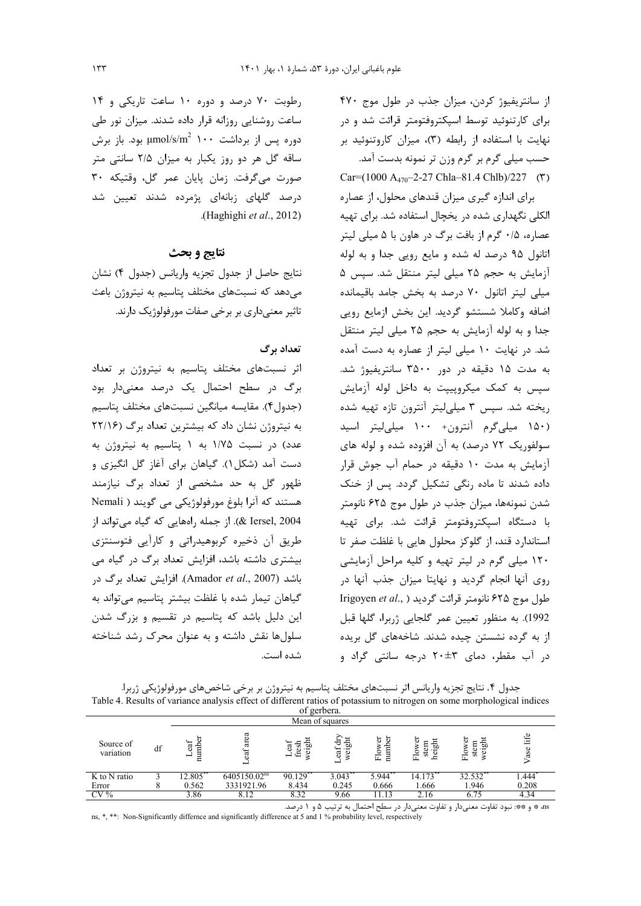از سانتریفیوژ کردن، میزان جذب در طول موج ۴۷۰ برای کارتنوئید توسط اسپکتروفتومتر قرائت شد و در نهایت با استفاده از رابطه (۳)، میزان کاروتنوئید بر حسب میلی گرم بر گرم وزن تر نمونه بدست آمد. Car= $(1000 A_{470} - 2 - 27 Chla - 81.4 Chlb)/227$  (\*)

برای اندازه گیری میزان قندهای محلول، از عصاره الکلی نگهداری شده در یخچال استفاده شد. برای تهیه عصاره، ۰/۵ گرم از بافت برگ در هاون با ۵ میلی لیتر اتانول ۹۵ درصد له شده و مایع رویی جدا و به لوله آزمایش به حجم ۲۵ میلی لیتر منتقل شد. سپس ۵ میلی لیتر اتانول ۷۰ درصد به بخش جامد باقیمانده اضافه وكاملا شستشو گرديد. اين بخش ازمايع رويي جدا و به لوله آزمایش به حجم ۲۵ میلی لیتر منتقل شد. در نهایت ۱۰ میلی لیتر از عصاره به دست آمده به مدت ۱۵ دقیقه در دور ۳۵۰۰ سانتریفیوژ شد. سیس به کمک میکروپییت به داخل لوله آزمایش , یخته شد. سیس ۳ میلی لیتر آنترون تازه تهیه شده (۱۵۰ میلی گرم آنترون+ ۱۰۰ میلی لیتر اسید سولفوریک ۷۲ درصد) به آن افزوده شده و لوله های آزمایش به مدت ۱۰ دقیقه در حمام آب جوش قرار داده شدند تا ماده رنگی تشکیل گردد. پس از خنک شدن نمونهها، میزان جذب در طول موج ۶۲۵ نانومتر با دستگاه اسیکتروفتومتر قرائت شد. برای تهیه استاندارد قند، از گلوکز محلول هایی با غلظت صفر تا ۱۲۰ میلی گرم در لیتر تهیه و کلیه مراحل آزمایشی روی آنها انجام گردید و نهایتا میزان جذب آنها در Irigoyen et al., ) طول موج ۶۲۵ نانومتر قرائت گردید 1992). به منظور تعیین عمر گلجایی ژربرا، گلها قبل از به گرده نشستن چیده شدند. شاخههای گل بریده در آب مقطر، دمای ۲۰±۲۰ درجه سانتی گراد و

رطوبت ٧٠ درصد و دوره ١٠ ساعت تاريكي و ١۴ ساعت روشنایی روزانه قرار داده شدند. میزان نور طی دوره پس از برداشت ۱۰۰ µmol/s/m<sup>2</sup> بود. باز برش ساقه گل هر دو روز یکبار به میزان ۲/۵ سانتی متر صورت می گرفت. زمان پایان عمر گل، وقتیکه ۳۰ درصد گلهای زبانهای پژمرده شدند تعیین شد .(Haghighi et al., 2012)

# نتايج و يحث

نتايج حاصل از جدول تجزيه واريانس (جدول ۴) نشان می دهد که نسبتهای مختلف پتاسیم به نیتروژن باعث تاثیر معنی داری بر برخی صفات مورفولوژیک دارند.

## تعداد برگ

اثر نسبتهای مختلف پتاسیم به نیتروژن بر تعداد برگ در سطح احتمال یک درصد معنیدار بود (جدول۴). مقايسه ميانگين نسبتهاي مختلف پتاسيم به نیتروژن نشان داد که بیشترین تعداد برگ (۲۲/۱۶ عدد) در نسبت ۱/۷۵ به ۱ پتاسیم به نیتروژن به دست آمد (شکل). گیاهان برای آغاز گل انگیزی و ظهور گل به حد مشخصی از تعداد برگ نیازمند هستند که آنرا بلوغ مورفولوژیکی می گویند ( Nemali Lersel, 2004). از جمله راههایی که گیاه می تواند از طریق آن ذخیره کربوهیدراتی و کارآیی فتوسنتزی بیشتری داشته باشد، افزایش تعداد برگ در گیاه می باشد (Amador et al., 2007). افزایش تعداد برگ در گیاهان تیمار شده با غلظت بیشتر پتاسیم می تواند به این دلیل باشد که پتاسیم در تقسیم و بزرگ شدن سلولها نقش داشته و به عنوان محرک رشد شناخته شده است.

جدول ۴. نتايج تجزيه واريانس اثر نسبتهاي مختلف پتاسيم به نيتروژن بر برخي شاخصهاي مورفولوژيكي ژربرا. Table 4. Results of variance analysis effect of different ratios of potassium to nitrogen on some morphological indices

|                        |    |                   |                          | of gerbera.                   |                      |                                                      |                             |                            |             |
|------------------------|----|-------------------|--------------------------|-------------------------------|----------------------|------------------------------------------------------|-----------------------------|----------------------------|-------------|
|                        |    |                   |                          | Mean of squares               |                      |                                                      |                             |                            |             |
| Source of<br>variation | df | numbe<br>eaf<br>− | area<br>ext<br>−         | 믋<br>Let<br>w<br>نة<br>ୂ<br>Æ | ᆷ<br>eaf<br>–        | ិដ<br>g<br>E <sub>o</sub><br>$\overline{\mathbf{u}}$ | 문<br>$_{\rm H_0}$<br>ಕ<br>ᅌ | ā<br>녊<br>stem<br>Flo<br>ω | life<br>ase |
| K to N ratio           |    | 12.805            | 6405150.02 <sup>ns</sup> | $90.129$ <sup>*</sup>         | $3.043$ <sup>*</sup> | 5.944                                                | $14.173$ <sup>*</sup>       | $32.\overline{532}$        | 1.444       |
| Error                  |    | 0.562             | 3331921.96               | 8.434                         | 0.245                | 0.666                                                | 1.666                       | 1.946                      | 0.208       |
| $CV\%$                 |    | 3.86              | 8.12                     | 8.32                          | 9.66                 | 11.13                                                | 2.16                        | 6.75                       | 4.34        |

as \* و \*\*: نبود تفاوت معنىدار و تفاوت معنىدار در سطح احتمال به ترتيب ۵ و ۱ درصد.

ns, \*, \*\*: Non-Significantly differnce and significantly difference at 5 and 1 % probability level, respectively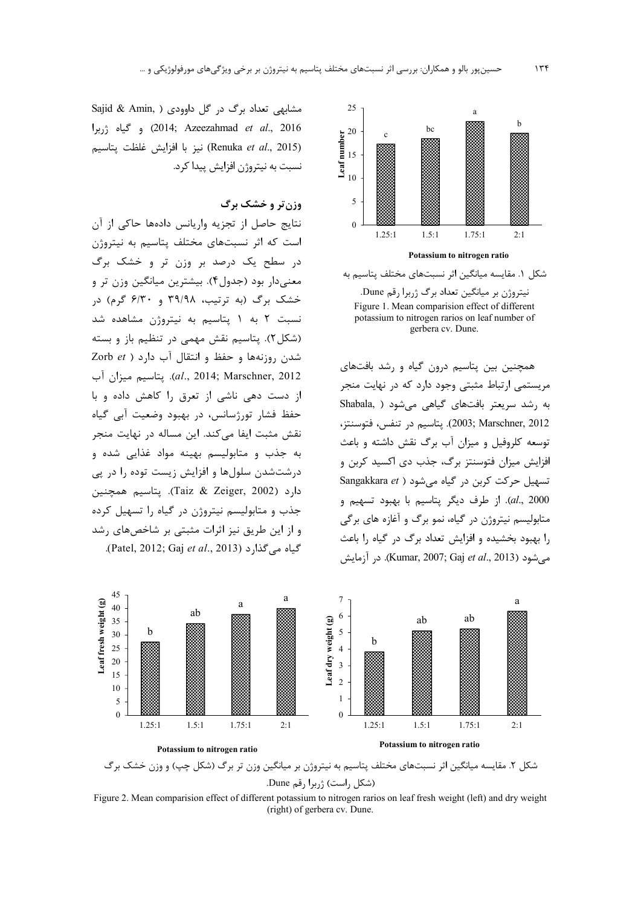

شکل ۱. مقایسه میانگین اثر نسبتهای مختلف پتاسیم به نیتروژن بر میانگین تعداد برگ ژربرا رقم Dune. Figure 1. Mean comparision effect of different potassium to nitrogen rarios on leaf number of gerbera cv. Dune.

همچنین بین پتاسیم درون گیاه و رشد بافتهای مریستمی ارتباط مثبتی وجود دارد که در نهایت منجر به رشد سریعتر بافتهای گیاهی میشود ( Shabala 2003; Marschner, 2012). يتاسيم در تنفس، فتوسنتز، توسعه کلروفیل و میزان آب برگ نقش داشته و باعث افزایش میزان فتوسنتز برگ، جذب دی اکسید کربن و تسهیل حرکت کربن در گیاه می شود ( Sangakkara et al., 2000). از طرف دیگر پتاسیم با بهبود تسهیم و متابوليسم نيتروژن در گياه، نمو برگ و آغازه هاي برگي را بهبود بخشیده و افزایش تعداد برگ در گیاه را باعث می شود (Kumar, 2007; Gaj *et al*., 2013). در آزمایش





Figure 2. Mean comparision effect of different potassium to nitrogen rarios on leaf fresh weight (left) and dry weight (right) of gerbera cv. Dune.

Sajid & Amin, ) داوودي ( Sajid & Amin, ) 2016) و گياه (2014; Azeezahmad et al., 2016 (Renuka et al., 2015) نيز با افزايش غلظت يتاسيم نسبت به نیتروژن افزایش پیدا کرد.

#### وزن تر و خشک برگ

نتايج حاصل از تجزيه واريانس دادهها حاكى از آن است که اثر نسبتهای مختلف پتاسیم به نیتروژن در سطح یک درصد بر وزن تر و خشک برگ معنیدار بود (جدول۴). بیشترین میانگین وزن تر و خشک برگ (به ترتیب، ۳۹/۹۸ و ۶/۳۰ گرم) در نسبت ۲ به ۱ پتاسیم به نیتروژن مشاهده شد (شکل ۲). پتاسیم نقش مهمی در تنظیم باز و بسته شدن روزنهها و حفظ و انتقال آب دارد ( Zorb et al., 2014; Marschner, 2012). يتاسيم ميزان آب از دست دهی ناشی از تعرق را کاهش داده و با حفظ فشار تورژسانس، در بهبود وضعیت آبی گیاه نقش مثبت ایفا میکند. این مساله در نهایت منجر به جذب و متابولیسم بهینه مواد غذایی شده و درشتشدن سلولها و افزایش زیست توده را در پی دارد (Taiz & Zeiger, 2002). يتاسيم همچنين جذب و متابولیسم نیتروژن در گیاه را تسهیل کرده و از این طریق نیز اثرات مثبتی بر شاخصهای رشد .(Patel, 2012; Gaj et al., 2013).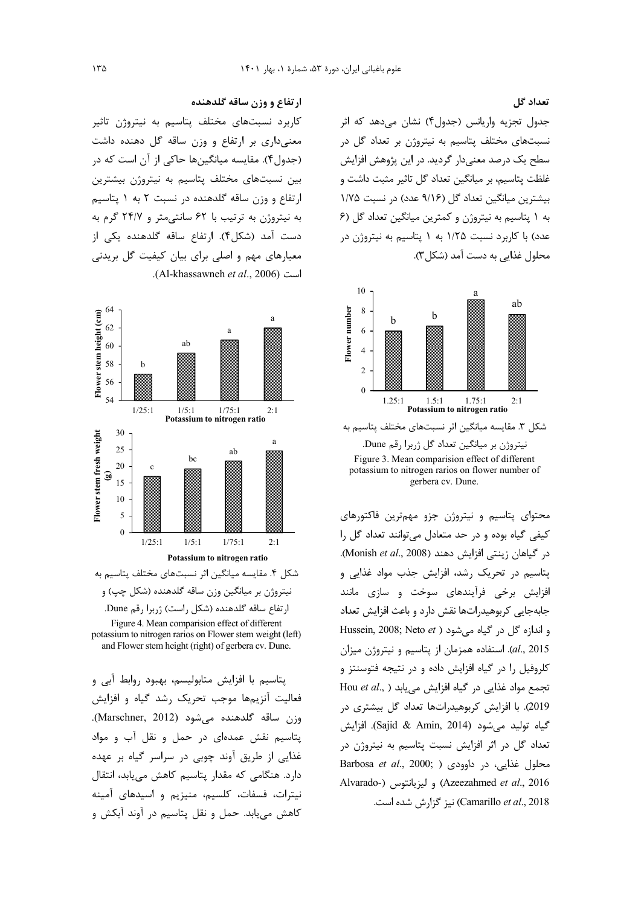تعداد گل

جدول تجزیه واریانس (جدول۴) نشان میدهد که اثر نسبتهای مختلف پتاسیم به نیتروژن بر تعداد گل در سطح یک درصد معنےدار گردید. در این پژوهش افزایش غلظت پتاسیم، بر میانگین تعداد گل تاثیر مثبت داشت و بیشترین میانگین تعداد گل (۹/۱۶ عدد) در نسبت ۱/۷۵ به ١ پتاسيم به نيتروژن و كمترين ميانگين تعداد گل (۶ عدد) با کاربرد نسبت ۱/۲۵ به ۱ پتاسیم به نیتروژن در محلول غذايي به دست آمد (شكل ٣).



شکل ۳. مقایسه میانگین اثر نسبتهای مختلف پتاسیم به

نیتروژن بر میانگین تعداد گل ژربرا رقم Dune. Figure 3. Mean comparision effect of different potassium to nitrogen rarios on flower number of gerbera cv. Dune.

محتوای پتاسیم و نیتروژن جزو مهم ترین فاکتورهای کیفی گیاه بوده و در حد متعادل میتوانند تعداد گل را در گیاهان زینتی افزایش دهند (Monish et al., 2008). پتاسیم در تحریک رشد، افزایش جذب مواد غذایی و افزایش برخی فرآیندهای سوخت و سازی مانند جابهجایی کربوهیدراتها نقش دارد و باعث افزایش تعداد Hussein, 2008; Neto et ) و اندازه كل در كياه مي شود al., 2015). استفاده همزمان از پتاسیم و نیتروژن میزان کلروفیل را در گیاه افزایش داده و در نتیجه فتوسنتز و Hou et al., ) تجمع مواد غذایی در گیاه افزایش می یابد 2019). با افزایش کربوهیدراتها تعداد گل بیشتری در گياه توليد مي شود (Sajid & Amin, 2014). افزايش تعداد گل در اثر افزایش نسبت پتاسیم به نیتروژن در Barbosa et al., 2000; ) در داوودي ( Barbosa et al., 2000; Alvarado-) و ليزيانتوس (Azeezahmed et al., 2016 Camarillo et al., 2018) نیز گزارش شده است.

#### ارتفاع و وزن ساقه گلدهنده

کاربرد نسبتهای مختلف پتاسیم به نیتروژن تاثیر معنیداری بر ارتفاع و وزن ساقه گل دهنده داشت (جدول۴). مقایسه میانگینها حاکی از آن است که در بین نسبتهای مختلف پتاسیم به نیتروژن بیشترین ارتفاع و وزن ساقه گلدهنده در نسبت ۲ به ۱ پتاسیم به نیتروژن به ترتیب با ۶۲ سانتی متر و ۲۴/۷ گرم به دست آمد (شکل۴). ارتفاع ساقه گلدهنده یکی از معیارهای مهم و اصلی برای بیان کیفیت گل بریدنی است (Al-khassawneh et al., 2006).



شکل ۴. مقایسه میانگین اثر نسبتهای مختلف پتاسیم به نیتروژن بر میانگین وزن ساقه گلدهنده (شکل چپ) و ارتفاع ساقه گلدهنده (شكل راست) ژربرا رقم Dune. Figure 4. Mean comparision effect of different potassium to nitrogen rarios on Flower stem weight (left)

and Flower stem height (right) of gerbera cv. Dune.

پتاسیم با افزایش متابولیسم، بهبود روابط آبی و فعالیت آنزیمها موجب تحریک رشد گیاه و افزایش وزن ساقه گلدهنده میشود (Marschner, 2012). .<br>پتاسيم نقش عمدهاي در حمل و نقل آب و مواد غذایی از طریق آوند چوبی در سراسر گیاه بر عهده دارد. هنگامی که مقدار پتاسیم کاهش می یابد، انتقال نيترات، فسفات، كلسيم، منيزيم و اسيدهاي آمينه کاهش می یابد. حمل و نقل پتاسیم در آوند آبکش و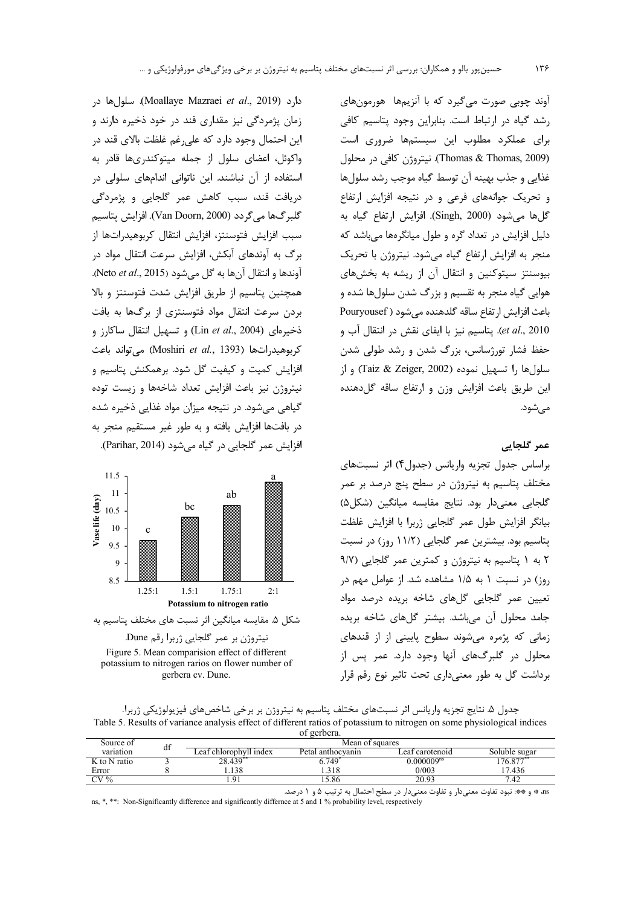آوند چوبی صورت می گیرد که با آنزیمها هورمونهای رشد گیاه در ارتباط است. بنابراین وجود پتاسیم کافی برای عملکرد مطلوب این سیستمها ضروری است (Thomas & Thomas, 2009). نيتروژن كافي در محلول غذایی و جذب بهینه آن توسط گیاه موجب رشد سلولها و تحریک جوانههای فرعی و در نتیجه افزایش ارتفاع گلها می شود (Singh, 2000). افزایش ارتفاع گیاه به دلیل افزایش در تعداد گره و طول میانگرهها می باشد که منجر به افزایش ارتفاع گیاه می شود. نیتروژن با تحریک بیوسنتز سیتوکنین و انتقال آن از ریشه به بخشهای هوایی گیاه منجر به تقسیم و بزرگ شدن سلولها شده و باعث افزايش ارتفاع ساقه گلدهنده مي شود (Pouryousef et al., 2010). پتاسیم نیز با ایفای نقش در انتقال آب و حفظ فشار تورژسانس، بزرگ شدن و رشد طولی شدن سلول ها را تسهيل نموده (Taiz & Zeiger, 2002) و از این طریق باعث افزایش وزن و ارتفاع ساقه گل<هنده مے شود.

# عمر گلجائے

براساس جدول تجزيه واريانس (جدول۴) اثر نسبتهاى مختلف پتاسیم به نیتروژن در سطح پنج درصد بر عمر گلجایی معنی دار بود. نتایج مقایسه میانگین (شکل ۵) بيانگر افزايش طول عمر گلجايي ژربرا با افزايش غلظت پتاسیم بود. بیشترین عمر گلجایی (۱۱/۲ روز) در نسبت ٢ به ١ پتاسيم به نيتروژن و كمترين عمر گلجايي (٩/٧ روز) در نسبت ۱ به ۱/۵ مشاهده شد. از عوامل مهم در تعیین عمر گلجایی گلهای شاخه بریده درصد مواد جامد محلول آن می باشد. بیشتر گلهای شاخه بریده زمانی که پژمره می شوند سطوح پایینی از از قندهای محلول در گلبرگهای آنها وجود دارد. عمر پس از برداشت گل به طور معنیداری تحت تاثیر نوع رقم قرار

جدول ۵. نتايج تجزيه واريانس اثر نسبتهاى مختلف پتاسيم به نيتروژن بر برخي شاخصهاى فيزيولوژيكي ژربرا. Table 5. Results of variance analysis effect of different ratios of potassium to nitrogen on some physiological indices of gerbera.

| Source of    | $\cdot$ | Mean of squares          |                   |                   |               |  |  |  |
|--------------|---------|--------------------------|-------------------|-------------------|---------------|--|--|--|
| variation    | đĪ      | chlorophyll index<br>eat | Petal anthocyanin | carotenoid<br>eat | Soluble sugar |  |  |  |
| K to N ratio |         | 28.439                   | 6.749             | $0.000009^{ns}$   | 176.877       |  |  |  |
| Error        |         | .138                     | 1.318             | 0/003             | 7.436         |  |  |  |
| $CV\%$       |         |                          | 15.86             | 20.93             | '.42          |  |  |  |

as \* و \*\*: نبود تفاوت معنىدار و تفاوت معنىدار در سطح احتمال به ترتیب ۵ و ۱ درصد.

ns, \*, \*\*: Non-Significantly difference and significantly differnce at 5 and 1 % probability level, respectively

دارد (Moallaye Mazraei et al., 2019). سلول ها در زمان پژمردگی نیز مقداری قند در خود ذخیره دارند و این احتمال وجود دارد که علی رغم غلظت بالای قند در واکوئل، اعضای سلول از جمله میتوکندریها قادر به استفاده از آن نباشند. این ناتوانی اندامهای سلولی در دریافت قند، سبب کاهش عمر گلجایی و پژمردگی گلبر گـها مي گردد (Van Doorn, 2000). افزايش پتاسيم سبب افزایش فتوسنتز، افزایش انتقال کربوهیدراتها از برگ به آوندهای آبکش، افزایش سرعت انتقال مواد در آوندها و انتقال آنها به گل می شود (Neto et al., 2015). همچنین پتاسیم از طریق افزایش شدت فتوسنتز و بالا بردن سرعت انتقال مواد فتوسنتزى از برگ@ا به بافت  $_1$  ذخیرهای (Lin et al., 2004) و تسهیل انتقال ساکارز و كربوهيدراتها (Moshiri et al., 1393) مى تواند باعث افزایش کمیت و کیفیت گل شود. برهمکنش پتاسیم و نیتروژن نیز باعث افزایش تعداد شاخهها و زیست توده گیاهی می شود. در نتیجه میزان مواد غذایی ذخیره شده در بافتها افزایش یافته و به طور غیر مستقیم منجر به افزایش عمر گلجایی در گیاه می شود (Parihar, 2014).





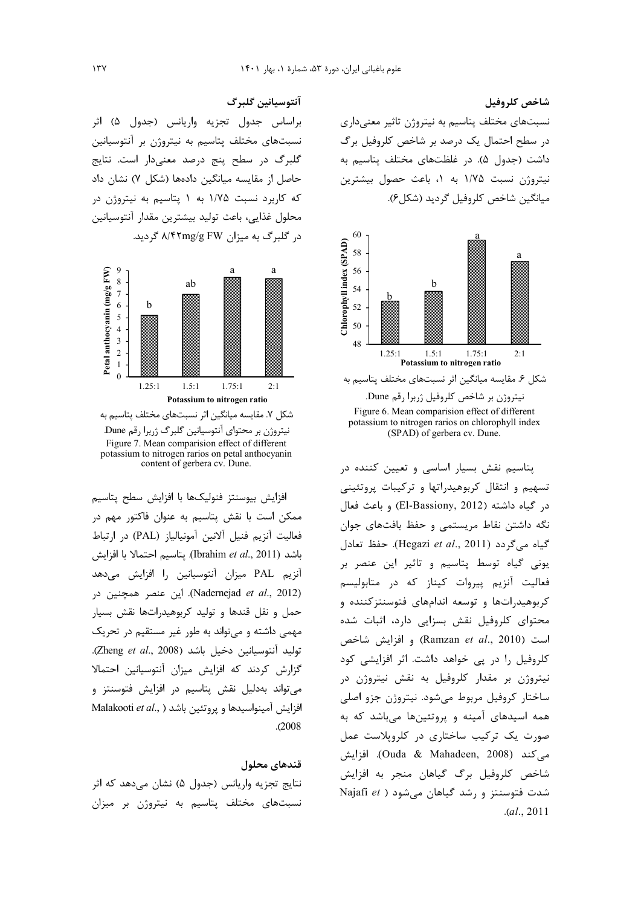شاخص كلروفيل نسبتهای مختلف پتاسیم به نیتروژن تاثیر معنیداری در سطح احتمال یک درصد بر شاخص کلروفیل برگ داشت (جدول ۵). در غلظتهای مختلف پتاسیم به نیتروژن نسبت ۱/۷۵ به ۱، باعث حصول بیشترین ميانگين شاخص كلروفيل گرديد (شكل ۶).





پتاسیم نقش بسیار اساسی و تعیین کننده در تسهیم و انتقال کربوهیدراتها و ترکیبات پروتئینی در گیاه داشته (El-Bassiony, 2012) و باعث فعال نگه داشتن نقاط مریستمی و حفظ بافتهای جوان گياه مي گردد (Hegazi et al., 2011). حفظ تعادل یونی گیاه توسط پتاسیم و تاثیر این عنصر بر فعالیت آنزیم پیروات کیناز که در متابولیسم کربوهیدراتها و توسعه اندامهای فتوسنتزکننده و محتوای کلروفیل نقش بسزایی دارد، اثبات شده و افزايش شاخص (Ramzan et al., 2010) کلروفیل را در پی خواهد داشت. اثر افزایشی کود نيتروژن بر مقدار كلروفيل به نقش نيتروژن در ساختار كروفيل مربوط مىشود. نيتروژن جزو اصلى همه اسیدهای آمینه و پروتئینها میباشد که به صورت یک ترکیب ساختاری در کلروپلاست عمل می کند (Ouda & Mahadeen, 2008). افزایش شاخص کلروفیل برگ گیاهان منجر به افزایش Majafi et ) می شود ( Najafi et )  $. (al., 2011)$ 

آنتوسيانين گلبرگ

براساس جدول تجزيه واريانس (جدول ۵) اثر نسبتهای مختلف پتاسیم به نیتروژن بر آنتوسیانین گلبرگ در سطح پنج درصد معنیدار است. نتایج حاصل از مقایسه میانگین دادهها (شکل ۷) نشان داد که کاربرد نسبت ۱/۷۵ به ۱ پتاسیم به نیتروژن در محلول غذايي، باعث توليد بيشترين مقدار آنتوسيانين در گلبرگ به میزان ۸/۴۲mg/g FW گردید.



شکل ۷. مقایسه میانگین اثر نسبتهای مختلف پتاسیم به نیتروژن بر محتوای آنتوسیانین گلبرگ ژربرا رقم Dune. Figure 7. Mean comparision effect of different potassium to nitrogen rarios on petal anthocyanin content of gerbera cv. Dune.

افزايش بيوسنتز فنوليكها با افزايش سطح يتاسيم ممکن است با نقش پتاسیم به عنوان فاکتور مهم در فعاليت آنزيم فنيل آلانين آمونيالياز (PAL) در ارتباط باشد (Ibrahim et al., 2011). يتاسيم احتمالا با افزايش آنزیم PAL میزان آنتوسیانین را افزایش میدهد (Nadernejad et al., 2012). این عنصر همچنین در حمل و نقل قندها و تولید کربوهیدراتها نقش بسیار مهمی داشته و می تواند به طور غیر مستقیم در تحریک توليد آنتوسيانين دخيل باشد (Zheng et al., 2008). گزارش كردند كه افزايش ميزان آنتوسيانين احتمالا می تواند بهدلیل نقش پتاسیم در افزایش فتوسنتز و Malakooti et al., ) افزایش آمینواسیدها و یروتئین باشد  $. (2008)$ 

#### قندهاي محلول

نتايج تجزيه واريانس (جدول ۵) نشان مي دهد كه اثر نسبتهای مختلف پتاسیم به نیتروژن بر میزان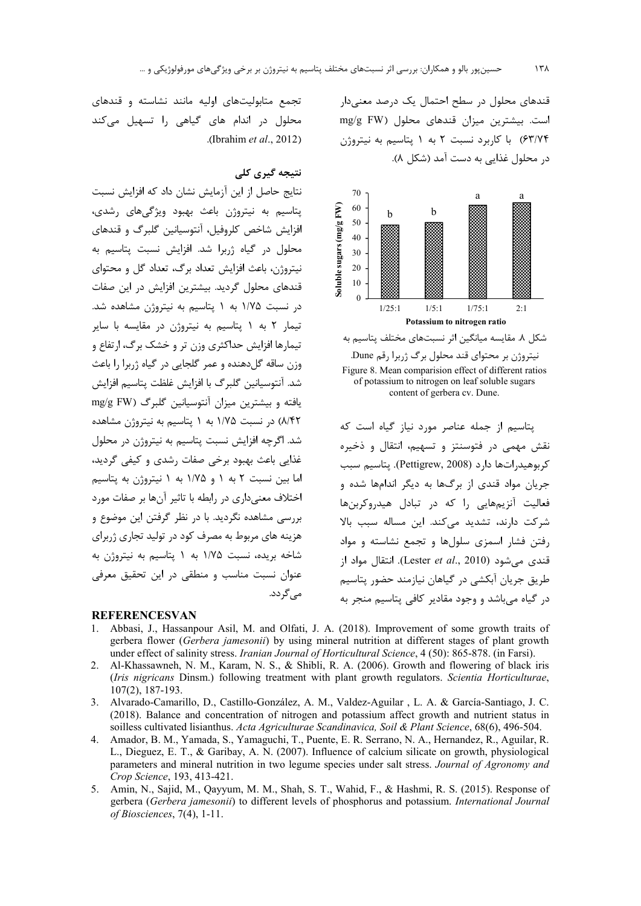قندهای محلول در سطح احتمال یک درصد معنیدار است. بیشترین میزان قندهای محلول (mg/g FW ۶۳/۷۴) با کاربرد نسبت ۲ به ۱ پتاسیم به نیتروژن در محلول غذایی به دست آمد (شکل ۸).



شکل ۸. مقایسه میانگین اثر نسبتهای مختلف پتاسیم به نیتروژن بر محتوای قند محلول برگ ژربرا رقم Dune. Figure 8. Mean comparision effect of different ratios of potassium to nitrogen on leaf soluble sugars content of gerbera cv. Dune.

يتاسيم از جمله عناصر مورد نياز گياه است كه نقش مهمی در فتوسنتز و تسهیم، انتقال و ذخیره كربوهيدراتها دارد (Pettigrew, 2008). يتاسيم سبب جریان مواد قندی از برگها به دیگر اندامها شده و فعاليت آنزيمهايي ,ا كه در تبادل هيدروكربنها شرکت دارند، تشدید می کند. این مساله سبب بالا رفتن فشار اسمزى سلولها وتجمع نشاسته ومواد i قندی می شود (Lester et al., 2010). انتقال مواد از طریق جریان آبکشی در گیاهان نیازمند حضور پتاسیم در گیاه میباشد و وجود مقادیر کافی پتاسیم منجر به

تجمع متابولیتهای اولیه مانند نشاسته و قندهای محلول در اندام های گیاهی را تسهیل میکند .(Ibrahim et al., 2012).

## نتيجه گيري کلي

نتايج حاصل از اين آزمايش نشان داد كه افزايش نسبت پتاسیم به نیتروژن باعث بهبود ویژگیهای رشدی، افزايش شاخص كلروفيل، آنتوسيانين گليرگ و قندهاي محلول در گیاه ژربرا شد. افزایش نسبت پتاسیم به نیتروژن، باعث افزایش تعداد برگ، تعداد گل و محتوای قندهای محلول گردید. بیشترین افزایش در این صفات در نسبت ۱/۷۵ به ۱ پتاسیم به نیتروژن مشاهده شد. تیمار ۲ به ۱ پتاسیم به نیتروژن در مقایسه با سایر تیمارها افزایش حداکثری وزن تر و خشک برگ، ارتفاع و وزن ساقه گل دهنده و عمر گلجایی در گیاه ژربرا را باعث شد. آنتوسیانین گلبرگ با افزایش غلظت پتاسیم افزایش یافته و بیشترین میزان آنتوسیانین گلبرگ (mg/g FW ٨/۴٢) در نسبت ١/٧۵ به ١ پتاسيم به نيتروژن مشاهده شد. اگرچه افزایش نسبت پتاسیم به نیتروژن در محلول غذایی باعث بهبود برخی صفات رشدی و کیفی گردید، اما بين نسبت ٢ به ١ و ١/٧۵ به ١ نيتروژن به يتاسيم اختلاف معنی داری در رابطه با تاثیر آنها بر صفات مورد بررسی مشاهده نگردید. با در نظر گرفتن این موضوع و هزینه های مربوط به مصرف کود در تولید تجاری ژربرای شاخه بریده، نسبت ۱/۷۵ به ۱ پتاسیم به نیتروژن به عنوان نسبت مناسب و منطقی در این تحقیق معرفی مے گر دد.

#### **REFERENCESVAN**

- Abbasi, J., Hassanpour Asil, M. and Olfati, J. A. (2018). Improvement of some growth traits of  $\mathbf{1}$ gerbera flower (Gerbera jamesonii) by using mineral nutrition at different stages of plant growth under effect of salinity stress. Iranian Journal of Horticultural Science, 4 (50): 865-878. (in Farsi).
- 2. Al-Khassawneh, N. M., Karam, N. S., & Shibli, R. A. (2006). Growth and flowering of black iris (Iris nigricans Dinsm.) following treatment with plant growth regulators. Scientia Horticulturae,  $107(2)$ , 187-193.
- 3. Alvarado-Camarillo, D., Castillo-González, A. M., Valdez-Aguilar, L. A. & García-Santiago, J. C. (2018). Balance and concentration of nitrogen and potassium affect growth and nutrient status in soilless cultivated lisianthus. Acta Agriculturae Scandinavica, Soil & Plant Science, 68(6), 496-504.
- 4. Amador, B. M., Yamada, S., Yamaguchi, T., Puente, E. R. Serrano, N. A., Hernandez, R., Aguilar, R. L., Dieguez, E. T., & Garibay, A. N. (2007). Influence of calcium silicate on growth, physiological parameters and mineral nutrition in two legume species under salt stress. Journal of Agronomy and Crop Science, 193, 413-421.
- 5. Amin, N., Sajid, M., Qayyum, M. M., Shah, S. T., Wahid, F., & Hashmi, R. S. (2015). Response of gerbera (Gerbera jamesonii) to different levels of phosphorus and potassium. International Journal of Biosciences,  $7(4)$ , 1-11.

۱۳۸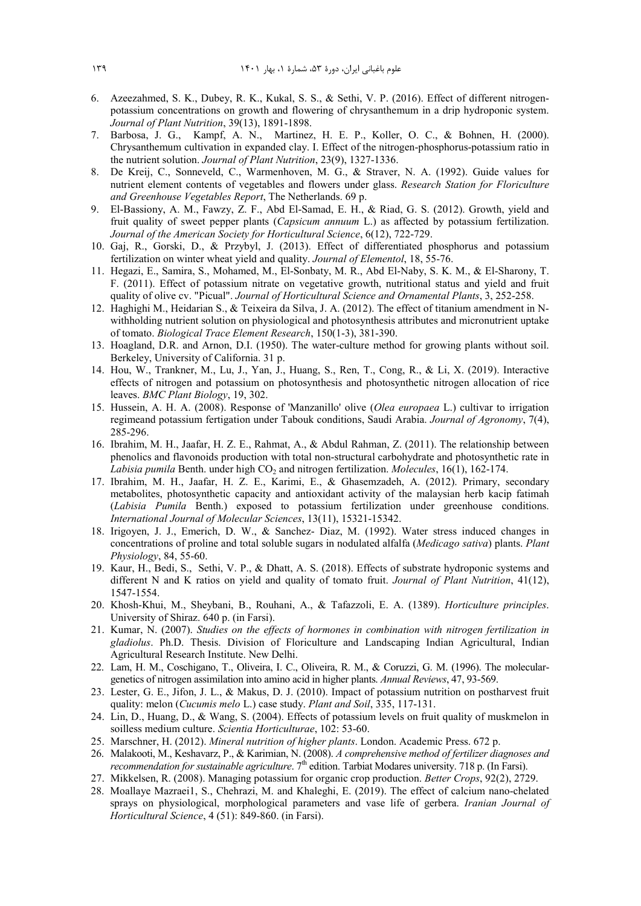- 6. Azeezahmed, S. K., Dubey, R. K., Kukal, S. S., & Sethi, V. P. (2016). Effect of different nitrogenpotassium concentrations on growth and flowering of chrysanthemum in a drip hydroponic system. *Journal of Plant Nutrition*, 39(13), 1891-1898.
- 7. Barbosa, J. G., Kampf, A. N., Martinez, H. E. P., Koller, O. C., & Bohnen, H. (2000). Chrysanthemum cultivation in expanded clay. I. Effect of the nitrogen-phosphorus-potassium ratio in the nutrient solution. *Journal of Plant Nutrition*, 23(9), 1327-1336.
- 8. De Kreij, C., Sonneveld, C., Warmenhoven, M. G., & Straver, N. A. (1992). Guide values for nutrient element contents of vegetables and flowers under glass. *Research Station for Floriculture and Greenhouse Vegetables Report*, The Netherlands. 69 p.
- 9. El-Bassiony, A. M., Fawzy, Z. F., Abd El-Samad, E. H., & Riad, G. S. (2012). Growth, yield and fruit quality of sweet pepper plants (*Capsicum annuum* L.) as affected by potassium fertilization. *Journal of the American Society for Horticultural Science*, 6(12), 722-729.
- 10. Gaj, R., Gorski, D., & Przybyl, J. (2013). Effect of differentiated phosphorus and potassium fertilization on winter wheat yield and quality. *Journal of Elementol*, 18, 55-76.
- 11. Hegazi, E., Samira, S., Mohamed, M., El-Sonbaty, M. R., Abd El-Naby, S. K. M., & El-Sharony, T. F. (2011). Effect of potassium nitrate on vegetative growth, nutritional status and yield and fruit quality of olive cv. "Picual". *Journal of Horticultural Science and Ornamental Plants*, 3, 252-258.
- 12. Haghighi M., Heidarian S., & Teixeira da Silva, J. A. (2012). The effect of titanium amendment in Nwithholding nutrient solution on physiological and photosynthesis attributes and micronutrient uptake of tomato. *Biological Trace Element Research*, 150(1-3), 381-390.
- 13. Hoagland, D.R. and Arnon, D.I. (1950). The water-culture method for growing plants without soil. Berkeley, University of California. 31 p.
- 14. Hou, W., Trankner, M., Lu, J., Yan, J., Huang, S., Ren, T., Cong, R., & Li, X. (2019). Interactive effects of nitrogen and potassium on photosynthesis and photosynthetic nitrogen allocation of rice leaves. *BMC Plant Biology*, 19, 302.
- 15. Hussein, A. H. A. (2008). Response of 'Manzanillo' olive (*Olea europaea* L.) cultivar to irrigation regimeand potassium fertigation under Tabouk conditions, Saudi Arabia. *Journal of Agronomy*, 7(4), 285-296.
- 16. Ibrahim, M. H., Jaafar, H. Z. E., Rahmat, A., & Abdul Rahman, Z. (2011). The relationship between phenolics and flavonoids production with total non-structural carbohydrate and photosynthetic rate in *Labisia pumila* Benth. under high CO<sub>2</sub> and nitrogen fertilization. *Molecules*, 16(1), 162-174.
- 17. Ibrahim, M. H., Jaafar, H. Z. E., Karimi, E., & Ghasemzadeh, A. (2012). Primary, secondary metabolites, photosynthetic capacity and antioxidant activity of the malaysian herb kacip fatimah (*Labisia Pumila* Benth.) exposed to potassium fertilization under greenhouse conditions. *International Journal of Molecular Sciences*, 13(11), 15321-15342.
- 18. Irigoyen, J. J., Emerich, D. W., & Sanchez- Diaz, M. (1992). Water stress induced changes in concentrations of proline and total soluble sugars in nodulated alfalfa (*Medicago sativa*) plants. *Plant Physiology*, 84, 55-60.
- 19. Kaur, H., Bedi, S., Sethi, V. P., & Dhatt, A. S. (2018). Effects of substrate hydroponic systems and different N and K ratios on yield and quality of tomato fruit. *Journal of Plant Nutrition*, 41(12), 1547-1554.
- 20. Khosh-Khui, M., Sheybani, B., Rouhani, A., & Tafazzoli, E. A. (1389). *Horticulture principles*. University of Shiraz. 640 p. (in Farsi).
- 21. Kumar, N. (2007). *Studies on the effects of hormones in combination with nitrogen fertilization in gladiolus*. Ph.D. Thesis. Division of Floriculture and Landscaping Indian Agricultural, Indian Agricultural Research Institute. New Delhi.
- 22. Lam, H. M., Coschigano, T., Oliveira, I. C., Oliveira, R. M., & Coruzzi, G. M. (1996). The moleculargenetics of nitrogen assimilation into amino acid in higher plants. *Annual Reviews*, 47, 93-569.
- 23. Lester, G. E., Jifon, J. L., & Makus, D. J. (2010). Impact of potassium nutrition on postharvest fruit quality: melon (*Cucumis melo* L.) case study. *Plant and Soil*, 335, 117-131.
- 24. Lin, D., Huang, D., & Wang, S. (2004). Effects of potassium levels on fruit quality of muskmelon in soilless medium culture. *Scientia Horticulturae*, 102: 53-60.
- 25. Marschner, H. (2012). *Mineral nutrition of higher plants*. London. Academic Press. 672 p.
- 26. Malakooti, M., Keshavarz, P., & Karimian, N. (2008). *A comprehensive method of fertilizer diagnoses and recommendation for sustainable agriculture*. 7<sup>th</sup> edition. Tarbiat Modares university. 718 p. (In Farsi).
- 27. Mikkelsen, R. (2008). Managing potassium for organic crop production. *Better Crops*, 92(2), 2729.
- 28. Moallaye Mazraei1, S., Chehrazi, M. and Khaleghi, E. (2019). The effect of calcium nano-chelated sprays on physiological, morphological parameters and vase life of gerbera. *Iranian Journal of Horticultural Science*, 4 (51): 849-860. (in Farsi).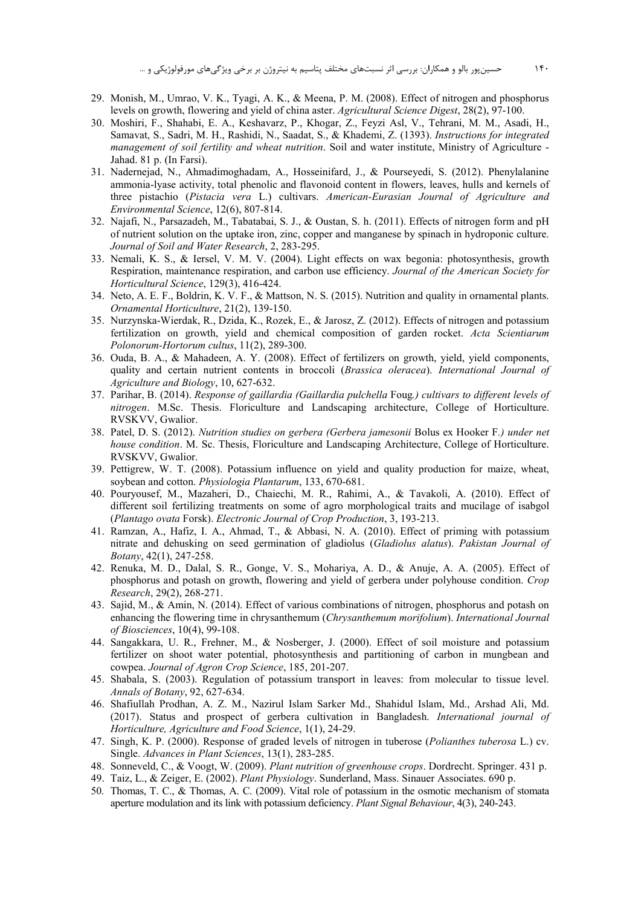- 29. Monish, M., Umrao, V. K., Tyagi, A. K., & Meena, P. M. (2008). Effect of nitrogen and phosphorus levels on growth, flowering and yield of china aster. Agricultural Science Digest, 28(2), 97-100.
- 30. Moshiri, F., Shahabi, E. A., Keshavarz, P., Khogar, Z., Feyzi Asl, V., Tehrani, M. M., Asadi, H., Samavat, S., Sadri, M. H., Rashidi, N., Saadat, S., & Khademi, Z. (1393). Instructions for integrated management of soil fertility and wheat nutrition. Soil and water institute, Ministry of Agriculture -Jahad. 81 p. (In Farsi).
- 31. Nadernejad, N., Ahmadimoghadam, A., Hosseinifard, J., & Pourseyedi, S. (2012). Phenylalanine ammonia-lyase activity, total phenolic and flavonoid content in flowers, leaves, hulls and kernels of three pistachio (Pistacia vera L.) cultivars. American-Eurasian Journal of Agriculture and Environmental Science, 12(6), 807-814.
- 32. Najafi, N., Parsazadeh, M., Tabatabai, S. J., & Oustan, S. h. (2011). Effects of nitrogen form and pH of nutrient solution on the uptake iron, zinc, copper and manganese by spinach in hydroponic culture. Journal of Soil and Water Research, 2, 283-295.
- 33. Nemali, K. S., & Iersel, V. M. V. (2004). Light effects on wax begonia: photosynthesis, growth Respiration, maintenance respiration, and carbon use efficiency. Journal of the American Society for Horticultural Science, 129(3), 416-424.
- 34. Neto, A. E. F., Boldrin, K. V. F., & Mattson, N. S. (2015). Nutrition and quality in ornamental plants. Ornamental Horticulture, 21(2), 139-150.
- 35. Nurzynska-Wierdak, R., Dzida, K., Rozek, E., & Jarosz, Z. (2012). Effects of nitrogen and potassium fertilization on growth, yield and chemical composition of garden rocket. Acta Scientiarum Polonorum-Hortorum cultus, 11(2), 289-300.
- 36. Ouda, B. A., & Mahadeen, A. Y. (2008). Effect of fertilizers on growth, yield, yield components, quality and certain nutrient contents in broccoli (Brassica oleracea). International Journal of Agriculture and Biology, 10, 627-632.
- 37. Parihar, B. (2014). Response of gaillardia (Gaillardia pulchella Foug.) cultivars to different levels of nitrogen. M.Sc. Thesis. Floriculture and Landscaping architecture. College of Horticulture. RVSKVV, Gwalior.
- 38. Patel, D. S. (2012). Nutrition studies on gerbera (Gerbera jamesonii Bolus ex Hooker F.) under net house condition. M. Sc. Thesis, Floriculture and Landscaping Architecture, College of Horticulture. RVSKVV, Gwalior.
- 39. Pettigrew, W. T. (2008). Potassium influence on yield and quality production for maize, wheat, soybean and cotton. Physiologia Plantarum, 133, 670-681.
- 40. Pouryousef, M., Mazaheri, D., Chaiechi, M. R., Rahimi, A., & Tavakoli, A. (2010). Effect of different soil fertilizing treatments on some of agro morphological traits and mucilage of isabgol (Plantago ovata Forsk). Electronic Journal of Crop Production, 3, 193-213.
- 41. Ramzan, A., Hafiz, I. A., Ahmad, T., & Abbasi, N. A. (2010). Effect of priming with potassium nitrate and dehusking on seed germination of gladiolus (Gladiolus alatus). Pakistan Journal of Botany, 42(1), 247-258.
- 42. Renuka, M. D., Dalal, S. R., Gonge, V. S., Mohariya, A. D., & Anuje, A. A. (2005). Effect of phosphorus and potash on growth, flowering and yield of gerbera under polyhouse condition. Crop Research, 29(2), 268-271.
- 43. Sajid, M., & Amin, N. (2014). Effect of various combinations of nitrogen, phosphorus and potash on enhancing the flowering time in chrysanthemum (Chrysanthemum morifolium). International Journal of Biosciences, 10(4), 99-108.
- 44. Sangakkara, U. R., Frehner, M., & Nosberger, J. (2000). Effect of soil moisture and potassium fertilizer on shoot water potential, photosynthesis and partitioning of carbon in mungbean and cowpea. Journal of Agron Crop Science, 185, 201-207.
- 45. Shabala, S. (2003). Regulation of potassium transport in leaves: from molecular to tissue level. Annals of Botany, 92, 627-634.
- 46. Shafiullah Prodhan, A. Z. M., Nazirul Islam Sarker Md., Shahidul Islam, Md., Arshad Ali, Md. (2017). Status and prospect of gerbera cultivation in Bangladesh. International journal of Horticulture, Agriculture and Food Science, 1(1), 24-29.
- 47. Singh, K. P. (2000). Response of graded levels of nitrogen in tuberose (Polianthes tuberosa L.) cv. Single. Advances in Plant Sciences, 13(1), 283-285.
- 48. Sonneveld, C., & Voogt, W. (2009). Plant nutrition of greenhouse crops. Dordrecht. Springer. 431 p.
- 49. Taiz, L., & Zeiger, E. (2002). Plant Physiology. Sunderland, Mass. Sinauer Associates. 690 p.
- 50. Thomas, T. C., & Thomas, A. C. (2009). Vital role of potassium in the osmotic mechanism of stomata aperture modulation and its link with potassium deficiency. Plant Signal Behaviour, 4(3), 240-243.